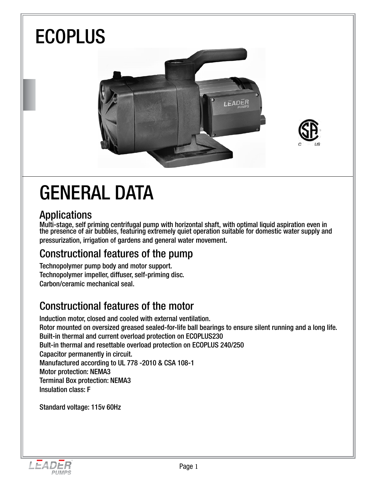

## GENERAL DATA

### Applications

Multi-stage, self priming centrifugal pump with horizontal shaft, with optimal liquid aspiration even in the presence of air bubbles, featuring extremely quiet operation suitable for domestic water supply and pressurization, irrigation of gardens and general water movement.

### Constructional features of the pump

Technopolymer pump body and motor support. Technopolymer impeller, diffuser, self-priming disc. Carbon/ceramic mechanical seal.

### Constructional features of the motor

Induction motor, closed and cooled with external ventilation. Rotor mounted on oversized greased sealed-for-life ball bearings to ensure silent running and a long life. Built-in thermal and current overload protection on ECOPLUS230 Bult-in thermal and resettable overload protection on ECOPLUS 240/250 Capacitor permanently in circuit. Manufactured according to UL 778 -2010 & CSA 108-1 Motor protection: NEMA3 Terminal Box protection: NEMA3 Insulation class: F

Standard voltage: 115v 60Hz

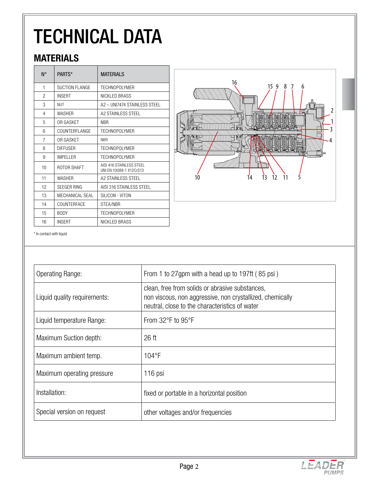# TECHNICAL DATA

### **MATERIALS**

| $N^{\circ}$ | PARTS*               | <b>MATFRIALS</b>                                   |
|-------------|----------------------|----------------------------------------------------|
| 1           | SUCTION FLANGE       | TECHNOPOLYMER                                      |
| 2           | <b>INSERT</b>        | NICKI ED BRASS                                     |
| 3           | <b>NUT</b>           | A2 - UNI7474 STAINI FSS STEEL                      |
| 4           | <b>WASHER</b>        | A2 STAINLESS STEEL                                 |
| 5           | OR GASKET            | <b>NBR</b>                                         |
| 6           | <b>COUNTERFLANGE</b> | <b>TECHNOPOLYMER</b>                               |
| 7           | OR GASKET            | <b>NBR</b>                                         |
| 8           | <b>DIFFUSER</b>      | <b>TECHNOPOLYMER</b>                               |
| 9           | IMPFI I FR           | <b>TECHNOPOLYMER</b>                               |
| 10          | ROTOR SHAFT          | AISL416 STAINLESS STEEL<br>UNI FN 10088-1 X12CrS13 |
| 11          | <b>WASHER</b>        | A2 STAINLESS STEEL                                 |
| 12          | <b>SFEGER RING</b>   | AISI 316 STAINLESS STEEL                           |
| 13          | MECHANICAL SEAL      | SILICON - VITON                                    |
| 14          | COUNTERFACE          | STEA/NBR                                           |
| 15          | <b>BODY</b>          | <b>TECHNOPOLYMER</b>                               |
| 16          | <b>INSERT</b>        | NICKLED BRASS                                      |



\* In contact with liquid

| <b>Operating Range:</b>      | From 1 to 27gpm with a head up to 197ft (85 psi)                                                                                                               |
|------------------------------|----------------------------------------------------------------------------------------------------------------------------------------------------------------|
| Liquid quality requirements: | clean, free from solids or abrasive substances,<br>non viscous, non aggressive, non crystallized, chemically<br>neutral, close to the characteristics of water |
| Liquid temperature Range:    | From 32°F to 95°F                                                                                                                                              |
| Maximum Suction depth:       | 26 <sub>ft</sub>                                                                                                                                               |
| Maximum ambient temp.        | $104$ °F                                                                                                                                                       |
| Maximum operating pressure   | 116 psi                                                                                                                                                        |
| Installation:                | fixed or portable in a horizontal position                                                                                                                     |
| Special version on request   | other voltages and/or frequencies                                                                                                                              |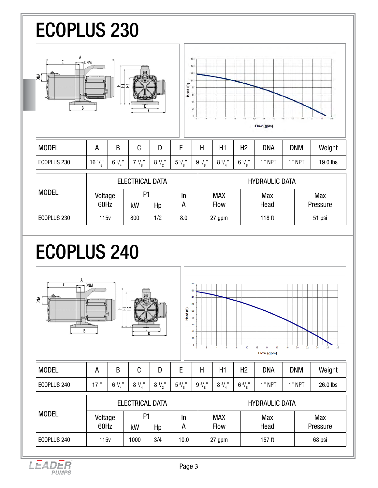## ECOPLUS 230



## ECOPLUS 240



LEADER **PUMPS**